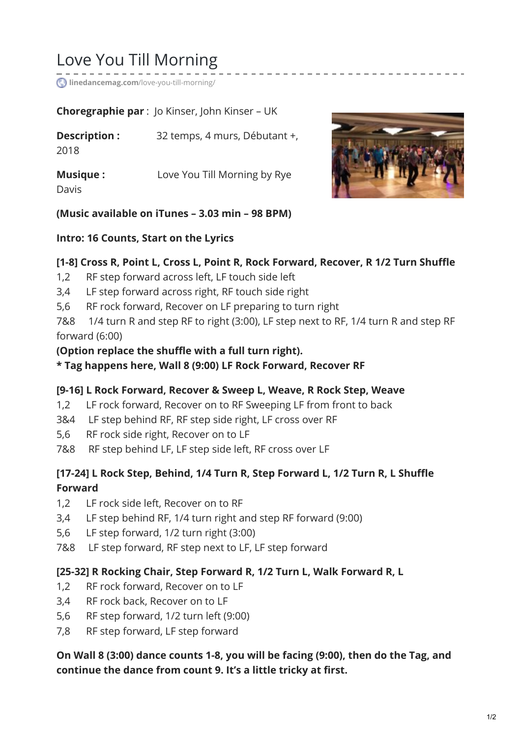# Love You Till Morning

**linedancemag.com**[/love-you-till-morning/](https://www.linedancemag.com/love-you-till-morning/)

**Choregraphie par** : Jo Kinser, John Kinser – UK

**Description :** 32 temps, 4 murs, Débutant +, 2018

**Musique :** Love You Till Morning by Rye

Davis



## **(Music available on iTunes – 3.03 min – 98 BPM)**

## **Intro: 16 Counts, Start on the Lyrics**

## **[1-8] Cross R, Point L, Cross L, Point R, Rock Forward, Recover, R 1/2 Turn Shuffle**

- 1,2 RF step forward across left, LF touch side left
- 3,4 LF step forward across right, RF touch side right
- 5,6 RF rock forward, Recover on LF preparing to turn right

7&8 1/4 turn R and step RF to right (3:00), LF step next to RF, 1/4 turn R and step RF forward (6:00)

#### **(Option replace the shuffle with a full turn right).**

#### **\* Tag happens here, Wall 8 (9:00) LF Rock Forward, Recover RF**

## **[9-16] L Rock Forward, Recover & Sweep L, Weave, R Rock Step, Weave**

- 1,2 LF rock forward, Recover on to RF Sweeping LF from front to back
- 3&4 LF step behind RF, RF step side right, LF cross over RF
- 5,6 RF rock side right, Recover on to LF
- 7&8 RF step behind LF, LF step side left, RF cross over LF

# **[17-24] L Rock Step, Behind, 1/4 Turn R, Step Forward L, 1/2 Turn R, L Shuffle Forward**

- 1,2 LF rock side left, Recover on to RF
- 3,4 LF step behind RF, 1/4 turn right and step RF forward (9:00)
- 5,6 LF step forward, 1/2 turn right (3:00)
- 7&8 LF step forward, RF step next to LF, LF step forward

## **[25-32] R Rocking Chair, Step Forward R, 1/2 Turn L, Walk Forward R, L**

- 1,2 RF rock forward, Recover on to LF
- 3,4 RF rock back, Recover on to LF
- 5,6 RF step forward, 1/2 turn left (9:00)
- 7,8 RF step forward, LF step forward

# **On Wall 8 (3:00) dance counts 1-8, you will be facing (9:00), then do the Tag, and continue the dance from count 9. It's a little tricky at first.**